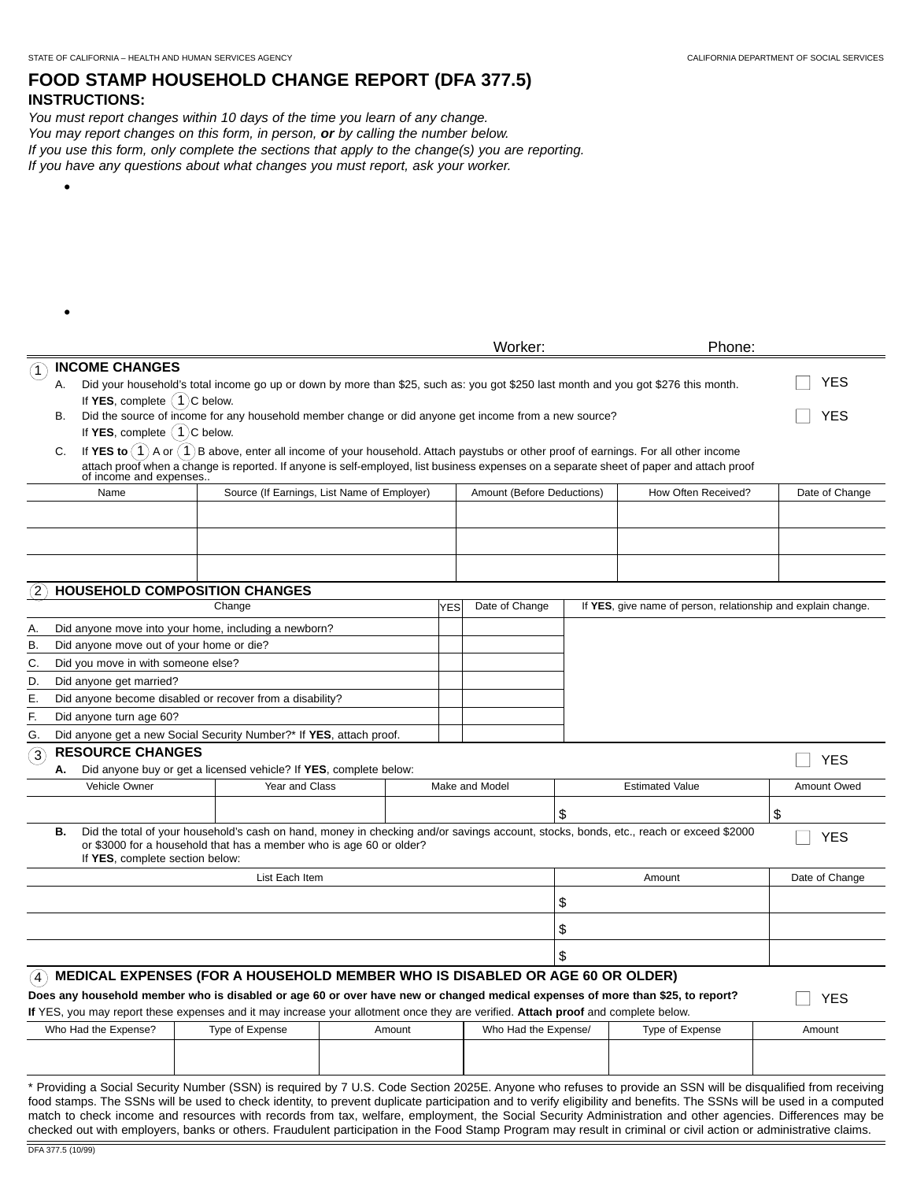•

## **FOOD STAMP HOUSEHOLD CHANGE REPORT (DFA 377.5) INSTRUCTIONS:**

You must report changes within 10 days of the time you learn of any change. You may report changes on this form, in person, **or** by calling the number below. If you use this form, only complete the sections that apply to the change(s) you are reporting. If you have any questions about what changes you must report, ask your worker.

|                                                   |                                                                                                                                                                                                                                                                                                                      |                                                                                                                                    |  |  |                      | Worker:                    |                 | Phone:                                                                                                                                                                                                                                                                                                                                |                |  |
|---------------------------------------------------|----------------------------------------------------------------------------------------------------------------------------------------------------------------------------------------------------------------------------------------------------------------------------------------------------------------------|------------------------------------------------------------------------------------------------------------------------------------|--|--|----------------------|----------------------------|-----------------|---------------------------------------------------------------------------------------------------------------------------------------------------------------------------------------------------------------------------------------------------------------------------------------------------------------------------------------|----------------|--|
|                                                   | <b>INCOME CHANGES</b>                                                                                                                                                                                                                                                                                                |                                                                                                                                    |  |  |                      |                            |                 |                                                                                                                                                                                                                                                                                                                                       |                |  |
| А.                                                |                                                                                                                                                                                                                                                                                                                      | Did your household's total income go up or down by more than \$25, such as: you got \$250 last month and you got \$276 this month. |  |  | <b>YES</b>           |                            |                 |                                                                                                                                                                                                                                                                                                                                       |                |  |
|                                                   | If YES, complete $(1)$ C below.                                                                                                                                                                                                                                                                                      |                                                                                                                                    |  |  |                      |                            |                 |                                                                                                                                                                                                                                                                                                                                       |                |  |
| В.                                                | Did the source of income for any household member change or did anyone get income from a new source?                                                                                                                                                                                                                 |                                                                                                                                    |  |  |                      |                            |                 |                                                                                                                                                                                                                                                                                                                                       | YES            |  |
|                                                   | If YES, complete $(1)$ C below.                                                                                                                                                                                                                                                                                      |                                                                                                                                    |  |  |                      |                            |                 |                                                                                                                                                                                                                                                                                                                                       |                |  |
|                                                   | If YES to $(1)$ A or $(1)$ B above, enter all income of your household. Attach paystubs or other proof of earnings. For all other income<br>C.<br>attach proof when a change is reported. If anyone is self-employed, list business expenses on a separate sheet of paper and attach proof<br>of income and expenses |                                                                                                                                    |  |  |                      |                            |                 |                                                                                                                                                                                                                                                                                                                                       |                |  |
|                                                   | Source (If Earnings, List Name of Employer)<br>Name                                                                                                                                                                                                                                                                  |                                                                                                                                    |  |  |                      | Amount (Before Deductions) |                 | How Often Received?                                                                                                                                                                                                                                                                                                                   | Date of Change |  |
|                                                   |                                                                                                                                                                                                                                                                                                                      |                                                                                                                                    |  |  |                      |                            |                 |                                                                                                                                                                                                                                                                                                                                       |                |  |
|                                                   |                                                                                                                                                                                                                                                                                                                      |                                                                                                                                    |  |  |                      |                            |                 |                                                                                                                                                                                                                                                                                                                                       |                |  |
|                                                   |                                                                                                                                                                                                                                                                                                                      |                                                                                                                                    |  |  |                      |                            |                 |                                                                                                                                                                                                                                                                                                                                       |                |  |
| $\mathbf{2}$                                      |                                                                                                                                                                                                                                                                                                                      | HOUSEHOLD COMPOSITION CHANGES                                                                                                      |  |  |                      |                            |                 |                                                                                                                                                                                                                                                                                                                                       |                |  |
|                                                   |                                                                                                                                                                                                                                                                                                                      | Change                                                                                                                             |  |  | <b>YES</b>           | Date of Change             |                 | If YES, give name of person, relationship and explain change.                                                                                                                                                                                                                                                                         |                |  |
| Α.                                                |                                                                                                                                                                                                                                                                                                                      | Did anyone move into your home, including a newborn?                                                                               |  |  |                      |                            |                 |                                                                                                                                                                                                                                                                                                                                       |                |  |
| В.                                                | Did anyone move out of your home or die?                                                                                                                                                                                                                                                                             |                                                                                                                                    |  |  |                      |                            |                 |                                                                                                                                                                                                                                                                                                                                       |                |  |
| С.                                                | Did you move in with someone else?                                                                                                                                                                                                                                                                                   |                                                                                                                                    |  |  |                      |                            |                 |                                                                                                                                                                                                                                                                                                                                       |                |  |
| D.                                                | Did anyone get married?                                                                                                                                                                                                                                                                                              |                                                                                                                                    |  |  |                      |                            |                 |                                                                                                                                                                                                                                                                                                                                       |                |  |
| Е.                                                | Did anyone become disabled or recover from a disability?                                                                                                                                                                                                                                                             |                                                                                                                                    |  |  |                      |                            |                 |                                                                                                                                                                                                                                                                                                                                       |                |  |
| F.                                                | Did anyone turn age 60?                                                                                                                                                                                                                                                                                              |                                                                                                                                    |  |  |                      |                            |                 |                                                                                                                                                                                                                                                                                                                                       |                |  |
| G.                                                |                                                                                                                                                                                                                                                                                                                      | Did anyone get a new Social Security Number?* If YES, attach proof.                                                                |  |  |                      |                            |                 |                                                                                                                                                                                                                                                                                                                                       |                |  |
| ઉ                                                 | <b>RESOURCE CHANGES</b>                                                                                                                                                                                                                                                                                              |                                                                                                                                    |  |  |                      |                            |                 |                                                                                                                                                                                                                                                                                                                                       | <b>YES</b>     |  |
| А.                                                |                                                                                                                                                                                                                                                                                                                      | Did anyone buy or get a licensed vehicle? If YES, complete below:                                                                  |  |  |                      |                            |                 |                                                                                                                                                                                                                                                                                                                                       |                |  |
|                                                   | Year and Class<br>Vehicle Owner                                                                                                                                                                                                                                                                                      |                                                                                                                                    |  |  |                      | Make and Model             |                 | <b>Estimated Value</b>                                                                                                                                                                                                                                                                                                                | Amount Owed    |  |
|                                                   |                                                                                                                                                                                                                                                                                                                      |                                                                                                                                    |  |  |                      |                            | \$              |                                                                                                                                                                                                                                                                                                                                       | \$             |  |
| В.                                                |                                                                                                                                                                                                                                                                                                                      |                                                                                                                                    |  |  |                      |                            |                 | Did the total of your household's cash on hand, money in checking and/or savings account, stocks, bonds, etc., reach or exceed \$2000                                                                                                                                                                                                 |                |  |
|                                                   | If YES, complete section below:                                                                                                                                                                                                                                                                                      | or \$3000 for a household that has a member who is age 60 or older?                                                                |  |  |                      |                            |                 |                                                                                                                                                                                                                                                                                                                                       | <b>YES</b>     |  |
|                                                   | List Each Item<br>Amount                                                                                                                                                                                                                                                                                             |                                                                                                                                    |  |  |                      |                            |                 |                                                                                                                                                                                                                                                                                                                                       |                |  |
| \$                                                |                                                                                                                                                                                                                                                                                                                      |                                                                                                                                    |  |  |                      |                            |                 |                                                                                                                                                                                                                                                                                                                                       |                |  |
| \$                                                |                                                                                                                                                                                                                                                                                                                      |                                                                                                                                    |  |  |                      |                            |                 |                                                                                                                                                                                                                                                                                                                                       |                |  |
| \$                                                |                                                                                                                                                                                                                                                                                                                      |                                                                                                                                    |  |  |                      |                            |                 |                                                                                                                                                                                                                                                                                                                                       |                |  |
|                                                   |                                                                                                                                                                                                                                                                                                                      | MEDICAL EXPENSES (FOR A HOUSEHOLD MEMBER WHO IS DISABLED OR AGE 60 OR OLDER)                                                       |  |  |                      |                            |                 |                                                                                                                                                                                                                                                                                                                                       |                |  |
|                                                   |                                                                                                                                                                                                                                                                                                                      | Does any household member who is disabled or age 60 or over have new or changed medical expenses of more than \$25, to report?     |  |  |                      |                            |                 |                                                                                                                                                                                                                                                                                                                                       |                |  |
|                                                   |                                                                                                                                                                                                                                                                                                                      | If YES, you may report these expenses and it may increase your allotment once they are verified. Attach proof and complete below.  |  |  |                      |                            |                 |                                                                                                                                                                                                                                                                                                                                       | <b>YES</b>     |  |
| Who Had the Expense?<br>Type of Expense<br>Amount |                                                                                                                                                                                                                                                                                                                      |                                                                                                                                    |  |  | Who Had the Expense/ |                            | Type of Expense |                                                                                                                                                                                                                                                                                                                                       | Amount         |  |
|                                                   |                                                                                                                                                                                                                                                                                                                      |                                                                                                                                    |  |  |                      |                            |                 |                                                                                                                                                                                                                                                                                                                                       |                |  |
|                                                   |                                                                                                                                                                                                                                                                                                                      |                                                                                                                                    |  |  |                      |                            |                 |                                                                                                                                                                                                                                                                                                                                       |                |  |
|                                                   |                                                                                                                                                                                                                                                                                                                      |                                                                                                                                    |  |  |                      |                            |                 | * Providing a Social Security Number (SSN) is required by 7 U.S. Code Section 2025E. Anyone who refuses to provide an SSN will be disqualified from receiving<br>food stamps. The SSNs will be used to check identity, to prevent duplicate participation and to verify eligibility and benefits. The SSNs will be used in a computed |                |  |

match to check income and resources with records from tax, welfare, employment, the Social Security Administration and other agencies. Differences may be checked out with employers, banks or others. Fraudulent participation in the Food Stamp Program may result in criminal or civil action or administrative claims.